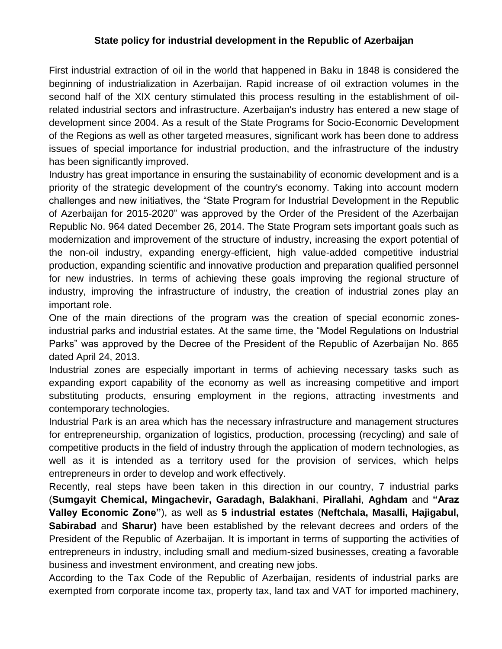## **State policy for industrial development in the Republic of Azerbaijan**

First industrial extraction of oil in the world that happened in Baku in 1848 is considered the beginning of industrialization in Azerbaijan. Rapid increase of oil extraction volumes in the second half of the XIX century stimulated this process resulting in the establishment of oilrelated industrial sectors and infrastructure. Azerbaijan's industry has entered a new stage of development since 2004. As a result of the State Programs for Socio-Economic Development of the Regions as well as other targeted measures, significant work has been done to address issues of special importance for industrial production, and the infrastructure of the industry has been significantly improved.

Industry has great importance in ensuring the sustainability of economic development and is a priority of the strategic development of the country's economy. Taking into account modern challenges and new initiatives, the "State Program for Industrial Development in the Republic of Azerbaijan for 2015-2020" was approved by the Order of the President of the Azerbaijan Republic No. 964 dated December 26, 2014. The State Program sets important goals such as modernization and improvement of the structure of industry, increasing the export potential of the non-oil industry, expanding energy-efficient, high value-added competitive industrial production, expanding scientific and innovative production and preparation qualified personnel for new industries. In terms of achieving these goals improving the regional structure of industry, improving the infrastructure of industry, the creation of industrial zones play an important role.

One of the main directions of the program was the creation of special economic zonesindustrial parks and industrial estates. At the same time, the "Model Regulations on Industrial Parks" was approved by the Decree of the President of the Republic of Azerbaijan No. 865 dated April 24, 2013.

Industrial zones are especially important in terms of achieving necessary tasks such as expanding export capability of the economy as well as increasing competitive and import substituting products, ensuring employment in the regions, attracting investments and contemporary technologies.

Industrial Park is an area which has the necessary infrastructure and management structures for entrepreneurship, organization of logistics, production, processing (recycling) and sale of competitive products in the field of industry through the application of modern technologies, as well as it is intended as a territory used for the provision of services, which helps entrepreneurs in order to develop and work effectively.

Recently, real steps have been taken in this direction in our country, 7 industrial parks (**Sumgayit Chemical, Mingachevir, Garadagh, Balakhani**, **Pirallahi**, **Aghdam** and **"Araz Valley Economic Zone"**), as well as **5 industrial estates** (**Neftchala, Masalli, Hajigabul, Sabirabad** and **Sharur)** have been established by the relevant decrees and orders of the President of the Republic of Azerbaijan. It is important in terms of supporting the activities of entrepreneurs in industry, including small and medium-sized businesses, creating a favorable business and investment environment, and creating new jobs.

According to the Tax Code of the Republic of Azerbaijan, residents of industrial parks are exempted from corporate income tax, property tax, land tax and VAT for imported machinery,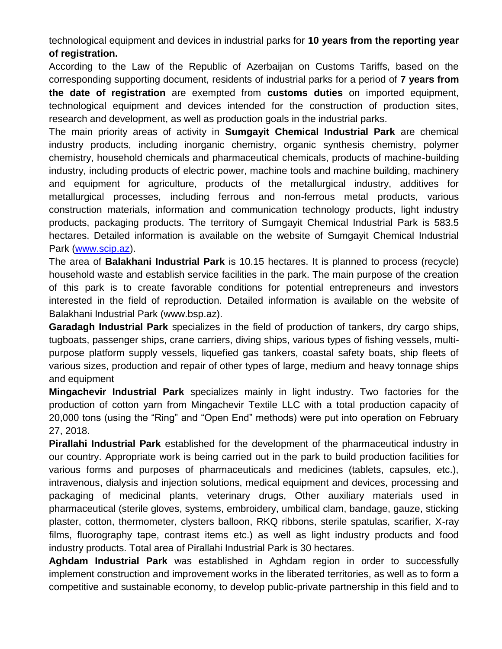technological equipment and devices in industrial parks for **10 years from the reporting year of registration.**

According to the Law of the Republic of Azerbaijan on Customs Tariffs, based on the corresponding supporting document, residents of industrial parks for a period of **7 years from the date of registration** are exempted from **customs duties** on imported equipment, technological equipment and devices intended for the construction of production sites, research and development, as well as production goals in the industrial parks.

The main priority areas of activity in **Sumgayit Chemical Industrial Park** are chemical industry products, including inorganic chemistry, organic synthesis chemistry, polymer chemistry, household chemicals and pharmaceutical chemicals, products of machine-building industry, including products of electric power, machine tools and machine building, machinery and equipment for agriculture, products of the metallurgical industry, additives for metallurgical processes, including ferrous and non-ferrous metal products, various construction materials, information and communication technology products, light industry products, packaging products. The territory of Sumgayit Chemical Industrial Park is 583.5 hectares. Detailed information is available on the website of Sumgayit Chemical Industrial Park [\(www.scip.az\)](http://www.scip.az/).

The area of **Balakhani Industrial Park** is 10.15 hectares. It is planned to process (recycle) household waste and establish service facilities in the park. The main purpose of the creation of this park is to create favorable conditions for potential entrepreneurs and investors interested in the field of reproduction. Detailed information is available on the website of Balakhani Industrial Park (www.bsp.az).

**Garadagh Industrial Park** specializes in the field of production of tankers, dry cargo ships, tugboats, passenger ships, crane carriers, diving ships, various types of fishing vessels, multipurpose platform supply vessels, liquefied gas tankers, coastal safety boats, ship fleets of various sizes, production and repair of other types of large, medium and heavy tonnage ships and equipment

**Mingachevir Industrial Park** specializes mainly in light industry. Two factories for the production of cotton yarn from Mingachevir Textile LLC with a total production capacity of 20,000 tons (using the "Ring" and "Open End" methods) were put into operation on February 27, 2018.

**Pirallahi Industrial Park** established for the development of the pharmaceutical industry in our country. Appropriate work is being carried out in the park to build production facilities for various forms and purposes of pharmaceuticals and medicines (tablets, capsules, etc.), intravenous, dialysis and injection solutions, medical equipment and devices, processing and packaging of medicinal plants, veterinary drugs, Other auxiliary materials used in pharmaceutical (sterile gloves, systems, embroidery, umbilical clam, bandage, gauze, sticking plaster, cotton, thermometer, clysters balloon, RKQ ribbons, sterile spatulas, scarifier, X-ray films, fluorography tape, contrast items etc.) as well as light industry products and food industry products. Total area of Pirallahi Industrial Park is 30 hectares.

**Aghdam Industrial Park** was established in Aghdam region in order to successfully implement construction and improvement works in the liberated territories, as well as to form a competitive and sustainable economy, to develop public-private partnership in this field and to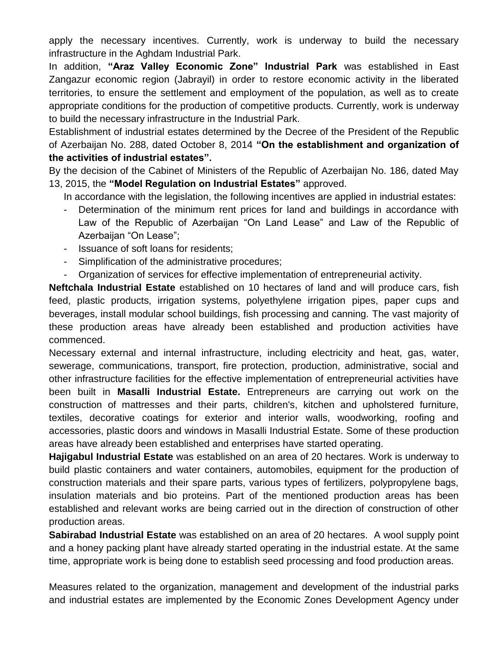apply the necessary incentives. Currently, work is underway to build the necessary infrastructure in the Aghdam Industrial Park.

In addition, **"Araz Valley Economic Zone" Industrial Park** was established in East Zangazur economic region (Jabrayil) in order to restore economic activity in the liberated territories, to ensure the settlement and employment of the population, as well as to create appropriate conditions for the production of competitive products. Currently, work is underway to build the necessary infrastructure in the Industrial Park.

Establishment of industrial estates determined by the Decree of the President of the Republic of Azerbaijan No. 288, dated October 8, 2014 **"On the establishment and organization of the activities of industrial estates".**

By the decision of the Cabinet of Ministers of the Republic of Azerbaijan No. 186, dated May 13, 2015, the **"Model Regulation on Industrial Estates"** approved.

In accordance with the legislation, the following incentives are applied in industrial estates:

- Determination of the minimum rent prices for land and buildings in accordance with Law of the Republic of Azerbaijan "On Land Lease" and Law of the Republic of Azerbaijan "On Lease":
- Issuance of soft loans for residents;
- Simplification of the administrative procedures;
- Organization of services for effective implementation of entrepreneurial activity.

**Neftchala Industrial Estate** established on 10 hectares of land and will produce cars, fish feed, plastic products, irrigation systems, polyethylene irrigation pipes, paper cups and beverages, install modular school buildings, fish processing and canning. The vast majority of these production areas have already been established and production activities have commenced.

Necessary external and internal infrastructure, including electricity and heat, gas, water, sewerage, communications, transport, fire protection, production, administrative, social and other infrastructure facilities for the effective implementation of entrepreneurial activities have been built in **Masalli Industrial Estate.** Entrepreneurs are carrying out work on the construction of mattresses and their parts, children's, kitchen and upholstered furniture, textiles, decorative coatings for exterior and interior walls, woodworking, roofing and accessories, plastic doors and windows in Masalli Industrial Estate. Some of these production areas have already been established and enterprises have started operating.

**Hajigabul Industrial Estate** was established on an area of 20 hectares. Work is underway to build plastic containers and water containers, automobiles, equipment for the production of construction materials and their spare parts, various types of fertilizers, polypropylene bags, insulation materials and bio proteins. Part of the mentioned production areas has been established and relevant works are being carried out in the direction of construction of other production areas.

**Sabirabad Industrial Estate** was established on an area of 20 hectares. A wool supply point and a honey packing plant have already started operating in the industrial estate. At the same time, appropriate work is being done to establish seed processing and food production areas.

Measures related to the organization, management and development of the industrial parks and industrial estates are implemented by the Economic Zones Development Agency under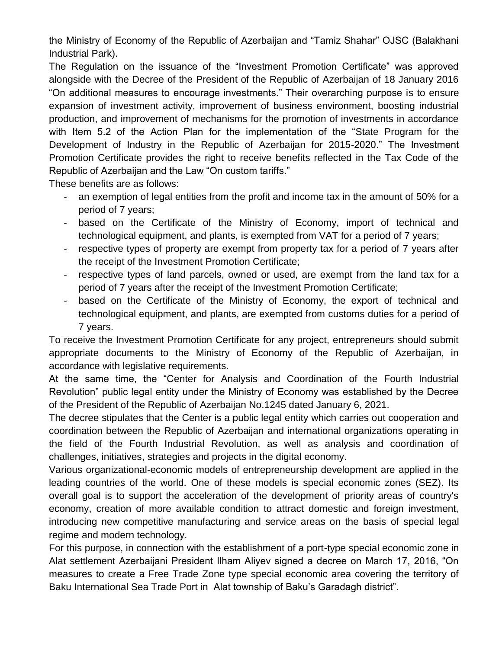the Ministry of Economy of the Republic of Azerbaijan and "Tamiz Shahar" OJSC (Balakhani Industrial Park).

The Regulation on the issuance of the "Investment Promotion Certificate" was approved alongside with the Decree of the President of the Republic of Azerbaijan of 18 January 2016 "On additional measures to encourage investments." Their overarching purpose is to ensure expansion of investment activity, improvement of business environment, boosting industrial production, and improvement of mechanisms for the promotion of investments in accordance with Item 5.2 of the Action Plan for the implementation of the "State Program for the Development of Industry in the Republic of Azerbaijan for 2015-2020." The Investment Promotion Certificate provides the right to receive benefits reflected in the Tax Code of the Republic of Azerbaijan and the Law "On custom tariffs."

These benefits are as follows:

- an exemption of legal entities from the profit and income tax in the amount of 50% for a period of 7 years;
- based on the Certificate of the Ministry of Economy, import of technical and technological equipment, and plants, is exempted from VAT for a period of 7 years;
- respective types of property are exempt from property tax for a period of 7 years after the receipt of the Investment Promotion Certificate;
- respective types of land parcels, owned or used, are exempt from the land tax for a period of 7 years after the receipt of the Investment Promotion Certificate;
- based on the Certificate of the Ministry of Economy, the export of technical and technological equipment, and plants, are exempted from customs duties for a period of 7 years.

To receive the Investment Promotion Certificate for any project, entrepreneurs should submit appropriate documents to the Ministry of Economy of the Republic of Azerbaijan, in accordance with legislative requirements.

At the same time, the "Center for Analysis and Coordination of the Fourth Industrial Revolution" public legal entity under the Ministry of Economy was established by the Decree of the President of the Republic of Azerbaijan No.1245 dated January 6, 2021.

The decree stipulates that the Center is a public legal entity which carries out cooperation and coordination between the Republic of Azerbaijan and international organizations operating in the field of the Fourth Industrial Revolution, as well as analysis and coordination of challenges, initiatives, strategies and projects in the digital economy.

Various organizational-economic models of entrepreneurship development are applied in the leading countries of the world. One of these models is special economic zones (SEZ). Its overall goal is to support the acceleration of the development of priority areas of country's economy, creation of more available condition to attract domestic and foreign investment, introducing new competitive manufacturing and service areas on the basis of special legal regime and modern technology.

For this purpose, in connection with the establishment of a port-type special economic zone in Alat settlement Azerbaijani President Ilham Aliyev signed a decree on March 17, 2016, "On measures to create a Free Trade Zone type special economic area covering the territory of Baku International Sea Trade Port in Alat township of Baku's Garadagh district".